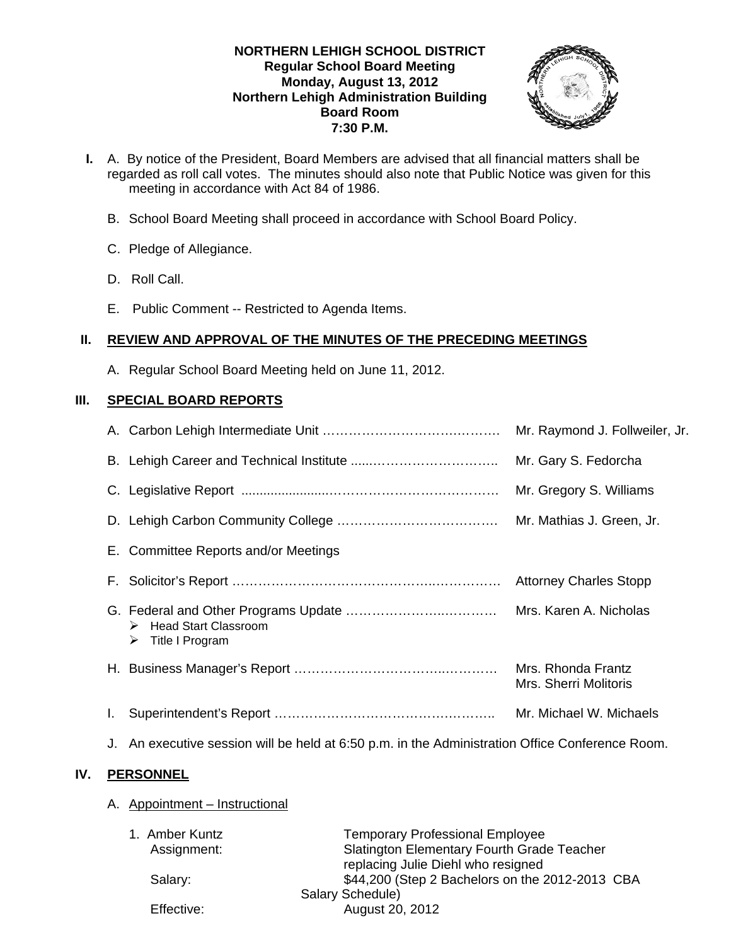### **NORTHERN LEHIGH SCHOOL DISTRICT Regular School Board Meeting Monday, August 13, 2012 Northern Lehigh Administration Building Board Room 7:30 P.M.**



- **I.** A. By notice of the President, Board Members are advised that all financial matters shall be regarded as roll call votes. The minutes should also note that Public Notice was given for this meeting in accordance with Act 84 of 1986.
	- B. School Board Meeting shall proceed in accordance with School Board Policy.
	- C. Pledge of Allegiance.
	- D. Roll Call.
	- E. Public Comment -- Restricted to Agenda Items.

# **II. REVIEW AND APPROVAL OF THE MINUTES OF THE PRECEDING MEETINGS**

A. Regular School Board Meeting held on June 11, 2012.

# **III. SPECIAL BOARD REPORTS**

|    |                                                                                                 | Mr. Raymond J. Follweiler, Jr.              |
|----|-------------------------------------------------------------------------------------------------|---------------------------------------------|
|    |                                                                                                 |                                             |
|    |                                                                                                 | Mr. Gregory S. Williams                     |
|    |                                                                                                 |                                             |
|    | E. Committee Reports and/or Meetings                                                            |                                             |
|    |                                                                                                 | <b>Attorney Charles Stopp</b>               |
|    | > Head Start Classroom<br>Title I Program<br>➤                                                  |                                             |
|    |                                                                                                 | Mrs. Rhonda Frantz<br>Mrs. Sherri Molitoris |
| I. |                                                                                                 | Mr. Michael W. Michaels                     |
|    | J. An executive session will be held at 6:50 p.m. in the Administration Office Conference Room. |                                             |

# **IV. PERSONNEL**

A. Appointment – Instructional

| 1. Amber Kuntz | <b>Temporary Professional Employee</b>          |
|----------------|-------------------------------------------------|
| Assignment:    | Slatington Elementary Fourth Grade Teacher      |
|                | replacing Julie Diehl who resigned              |
| Salary:        | \$44,200 (Step 2 Bachelors on the 2012-2013 CBA |
|                | Salary Schedule)                                |
| Effective:     | August 20, 2012                                 |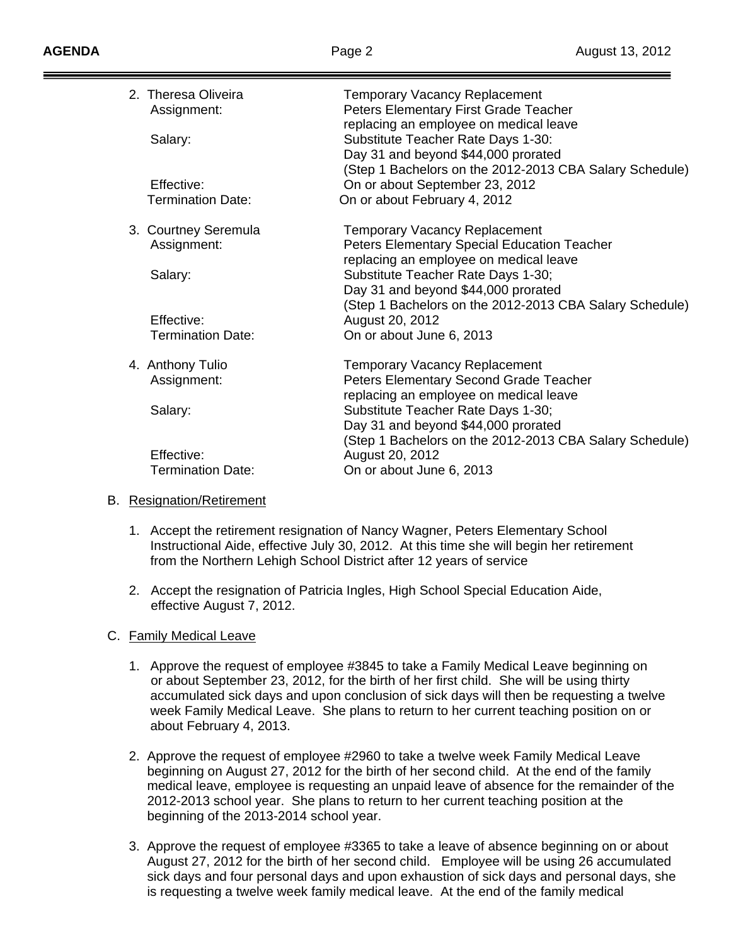| 2. Theresa Oliveira<br>Assignment:<br>Salary: | <b>Temporary Vacancy Replacement</b><br>Peters Elementary First Grade Teacher<br>replacing an employee on medical leave<br>Substitute Teacher Rate Days 1-30:<br>Day 31 and beyond \$44,000 prorated<br>(Step 1 Bachelors on the 2012-2013 CBA Salary Schedule) |
|-----------------------------------------------|-----------------------------------------------------------------------------------------------------------------------------------------------------------------------------------------------------------------------------------------------------------------|
| Effective:                                    | On or about September 23, 2012                                                                                                                                                                                                                                  |
| <b>Termination Date:</b>                      | On or about February 4, 2012                                                                                                                                                                                                                                    |
| 3. Courtney Seremula<br>Assignment:           | <b>Temporary Vacancy Replacement</b><br><b>Peters Elementary Special Education Teacher</b><br>replacing an employee on medical leave                                                                                                                            |
| Salary:                                       | Substitute Teacher Rate Days 1-30;<br>Day 31 and beyond \$44,000 prorated<br>(Step 1 Bachelors on the 2012-2013 CBA Salary Schedule)                                                                                                                            |
| Effective:                                    | August 20, 2012                                                                                                                                                                                                                                                 |
| <b>Termination Date:</b>                      | On or about June 6, 2013                                                                                                                                                                                                                                        |
| 4. Anthony Tulio<br>Assignment:               | <b>Temporary Vacancy Replacement</b><br>Peters Elementary Second Grade Teacher<br>replacing an employee on medical leave                                                                                                                                        |
| Salary:                                       | Substitute Teacher Rate Days 1-30;<br>Day 31 and beyond \$44,000 prorated<br>(Step 1 Bachelors on the 2012-2013 CBA Salary Schedule)                                                                                                                            |
| Effective:                                    | August 20, 2012                                                                                                                                                                                                                                                 |
| <b>Termination Date:</b>                      | On or about June 6, 2013                                                                                                                                                                                                                                        |
|                                               |                                                                                                                                                                                                                                                                 |

# B. Resignation/Retirement

- 1. Accept the retirement resignation of Nancy Wagner, Peters Elementary School Instructional Aide, effective July 30, 2012. At this time she will begin her retirement from the Northern Lehigh School District after 12 years of service
- 2. Accept the resignation of Patricia Ingles, High School Special Education Aide, effective August 7, 2012.

# C. Family Medical Leave

- 1. Approve the request of employee #3845 to take a Family Medical Leave beginning on or about September 23, 2012, for the birth of her first child. She will be using thirty accumulated sick days and upon conclusion of sick days will then be requesting a twelve week Family Medical Leave. She plans to return to her current teaching position on or about February 4, 2013.
- 2. Approve the request of employee #2960 to take a twelve week Family Medical Leave beginning on August 27, 2012 for the birth of her second child. At the end of the family medical leave, employee is requesting an unpaid leave of absence for the remainder of the 2012-2013 school year. She plans to return to her current teaching position at the beginning of the 2013-2014 school year.
- 3. Approve the request of employee #3365 to take a leave of absence beginning on or about August 27, 2012 for the birth of her second child. Employee will be using 26 accumulated sick days and four personal days and upon exhaustion of sick days and personal days, she is requesting a twelve week family medical leave. At the end of the family medical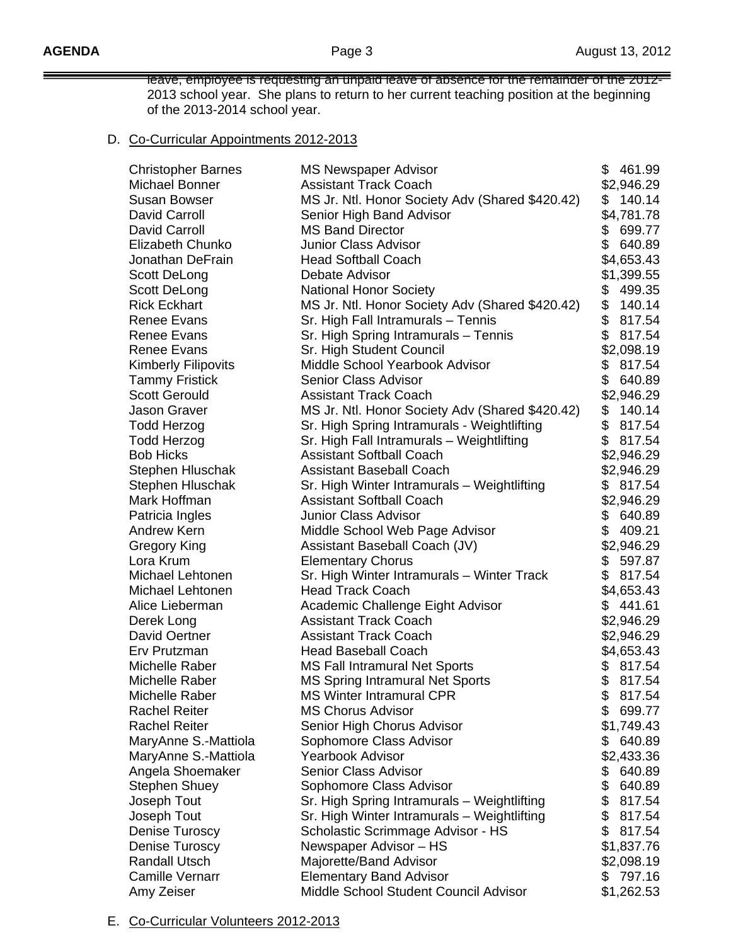leave, employee is requesting an unpaid leave of absence for the remainder of the 2012- 2013 school year. She plans to return to her current teaching position at the beginning of the 2013-2014 school year.

### D. Co-Curricular Appointments 2012-2013

| <b>Christopher Barnes</b>  | <b>MS Newspaper Advisor</b>                     |               | \$461.99   |
|----------------------------|-------------------------------------------------|---------------|------------|
| Michael Bonner             | <b>Assistant Track Coach</b>                    |               | \$2,946.29 |
| <b>Susan Bowser</b>        | MS Jr. Ntl. Honor Society Adv (Shared \$420.42) | \$            | 140.14     |
| David Carroll              | Senior High Band Advisor                        |               | \$4,781.78 |
| David Carroll              | <b>MS Band Director</b>                         |               | \$699.77   |
| Elizabeth Chunko           | <b>Junior Class Advisor</b>                     | \$            | 640.89     |
| Jonathan DeFrain           | <b>Head Softball Coach</b>                      |               | \$4,653.43 |
| Scott DeLong               | Debate Advisor                                  |               | \$1,399.55 |
| Scott DeLong               | <b>National Honor Society</b>                   | \$            | 499.35     |
| <b>Rick Eckhart</b>        | MS Jr. Ntl. Honor Society Adv (Shared \$420.42) | \$            | 140.14     |
| Renee Evans                | Sr. High Fall Intramurals - Tennis              | \$            | 817.54     |
| <b>Renee Evans</b>         | Sr. High Spring Intramurals - Tennis            | \$            | 817.54     |
| <b>Renee Evans</b>         | Sr. High Student Council                        |               | \$2,098.19 |
| <b>Kimberly Filipovits</b> | Middle School Yearbook Advisor                  | \$            | 817.54     |
| <b>Tammy Fristick</b>      | <b>Senior Class Advisor</b>                     | \$            | 640.89     |
| <b>Scott Gerould</b>       | <b>Assistant Track Coach</b>                    |               | \$2,946.29 |
| Jason Graver               | MS Jr. Ntl. Honor Society Adv (Shared \$420.42) | \$            | 140.14     |
| <b>Todd Herzog</b>         | Sr. High Spring Intramurals - Weightlifting     | \$            | 817.54     |
| Todd Herzog                | Sr. High Fall Intramurals - Weightlifting       | \$            | 817.54     |
| <b>Bob Hicks</b>           | <b>Assistant Softball Coach</b>                 |               | \$2,946.29 |
| Stephen Hluschak           | <b>Assistant Baseball Coach</b>                 |               | \$2,946.29 |
| Stephen Hluschak           | Sr. High Winter Intramurals - Weightlifting     |               | \$817.54   |
| Mark Hoffman               | <b>Assistant Softball Coach</b>                 |               | \$2,946.29 |
| Patricia Ingles            | <b>Junior Class Advisor</b>                     | \$            | 640.89     |
| Andrew Kern                | Middle School Web Page Advisor                  | \$            | 409.21     |
| Gregory King               | Assistant Baseball Coach (JV)                   |               | \$2,946.29 |
| Lora Krum                  | <b>Elementary Chorus</b>                        | \$            | 597.87     |
| Michael Lehtonen           | Sr. High Winter Intramurals - Winter Track      | \$            | 817.54     |
| Michael Lehtonen           | <b>Head Track Coach</b>                         |               | \$4,653.43 |
| Alice Lieberman            | Academic Challenge Eight Advisor                | \$            | 441.61     |
| Derek Long                 | <b>Assistant Track Coach</b>                    |               | \$2,946.29 |
| David Oertner              | <b>Assistant Track Coach</b>                    |               | \$2,946.29 |
| Erv Prutzman               | <b>Head Baseball Coach</b>                      |               | \$4,653.43 |
| Michelle Raber             | <b>MS Fall Intramural Net Sports</b>            | \$            | 817.54     |
| Michelle Raber             | <b>MS Spring Intramural Net Sports</b>          | \$            | 817.54     |
| Michelle Raber             | <b>MS Winter Intramural CPR</b>                 |               | 817.54     |
| <b>Rachel Reiter</b>       | <b>MS Chorus Advisor</b>                        | \$            | 699.77     |
| <b>Rachel Reiter</b>       | Senior High Chorus Advisor                      |               | \$1,749.43 |
| MaryAnne S.-Mattiola       | Sophomore Class Advisor                         | \$            | 640.89     |
| MaryAnne S.-Mattiola       | Yearbook Advisor                                |               | \$2,433.36 |
| Angela Shoemaker           | Senior Class Advisor                            | \$            | 640.89     |
| <b>Stephen Shuey</b>       | Sophomore Class Advisor                         | \$            | 640.89     |
| Joseph Tout                | Sr. High Spring Intramurals - Weightlifting     | $\frac{1}{2}$ | 817.54     |
| Joseph Tout                | Sr. High Winter Intramurals - Weightlifting     | \$            | 817.54     |
| <b>Denise Turoscy</b>      | Scholastic Scrimmage Advisor - HS               | \$            | 817.54     |
| Denise Turoscy             | Newspaper Advisor - HS                          |               | \$1,837.76 |
| <b>Randall Utsch</b>       | Majorette/Band Advisor                          |               | \$2,098.19 |
| <b>Camille Vernarr</b>     | <b>Elementary Band Advisor</b>                  |               | \$797.16   |
| Amy Zeiser                 | Middle School Student Council Advisor           |               | \$1,262.53 |

E. Co-Curricular Volunteers 2012-2013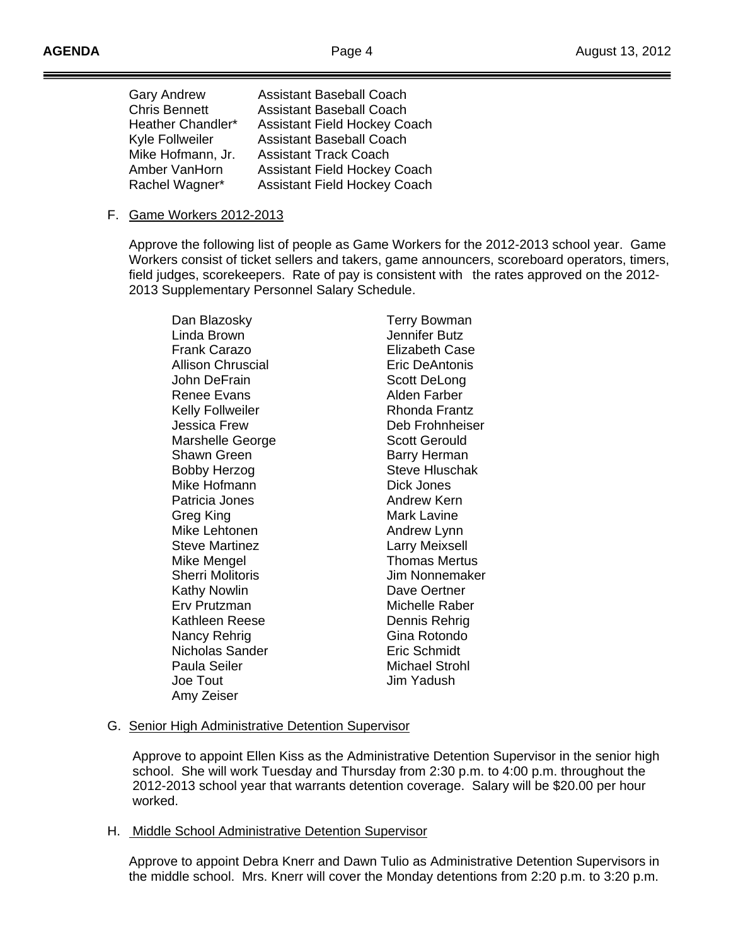| <b>Gary Andrew</b><br><b>Chris Bennett</b><br>Heather Chandler*<br>Kyle Follweiler<br>Mike Hofmann, Jr.<br>Amber VanHorn | <b>Assistant Baseball Coach</b><br><b>Assistant Baseball Coach</b><br><b>Assistant Field Hockey Coach</b><br><b>Assistant Baseball Coach</b><br><b>Assistant Track Coach</b> |
|--------------------------------------------------------------------------------------------------------------------------|------------------------------------------------------------------------------------------------------------------------------------------------------------------------------|
| Rachel Wagner*                                                                                                           | <b>Assistant Field Hockey Coach</b><br><b>Assistant Field Hockey Coach</b>                                                                                                   |

### F. Game Workers 2012-2013

 Approve the following list of people as Game Workers for the 2012-2013 school year. Game Workers consist of ticket sellers and takers, game announcers, scoreboard operators, timers, field judges, scorekeepers. Rate of pay is consistent with the rates approved on the 2012- 2013 Supplementary Personnel Salary Schedule.

| Dan Blazosky             | <b>Terry Bowman</b>   |
|--------------------------|-----------------------|
| Linda Brown              | Jennifer Butz         |
| <b>Frank Carazo</b>      | <b>Elizabeth Case</b> |
| <b>Allison Chruscial</b> | Eric DeAntonis        |
| John DeFrain             | Scott DeLong          |
| <b>Renee Evans</b>       | Alden Farber          |
| <b>Kelly Follweiler</b>  | Rhonda Frantz         |
| Jessica Frew             | Deb Frohnheiser       |
| Marshelle George         | <b>Scott Gerould</b>  |
| <b>Shawn Green</b>       | <b>Barry Herman</b>   |
| <b>Bobby Herzog</b>      | <b>Steve Hluschak</b> |
| Mike Hofmann             | Dick Jones            |
| Patricia Jones           | <b>Andrew Kern</b>    |
| Greg King                | Mark Lavine           |
| Mike Lehtonen            | Andrew Lynn           |
| <b>Steve Martinez</b>    | <b>Larry Meixsell</b> |
| Mike Mengel              | <b>Thomas Mertus</b>  |
| <b>Sherri Molitoris</b>  | Jim Nonnemaker        |
| Kathy Nowlin             | Dave Oertner          |
| Erv Prutzman             | Michelle Raber        |
| Kathleen Reese           | Dennis Rehrig         |
| Nancy Rehrig             | Gina Rotondo          |
| Nicholas Sander          | <b>Eric Schmidt</b>   |
| Paula Seiler             | <b>Michael Strohl</b> |
| Joe Tout                 | Jim Yadush            |
| Amy Zeiser               |                       |

# G. Senior High Administrative Detention Supervisor

 Approve to appoint Ellen Kiss as the Administrative Detention Supervisor in the senior high school. She will work Tuesday and Thursday from 2:30 p.m. to 4:00 p.m. throughout the 2012-2013 school year that warrants detention coverage. Salary will be \$20.00 per hour worked.

# H. Middle School Administrative Detention Supervisor

 Approve to appoint Debra Knerr and Dawn Tulio as Administrative Detention Supervisors in the middle school. Mrs. Knerr will cover the Monday detentions from 2:20 p.m. to 3:20 p.m.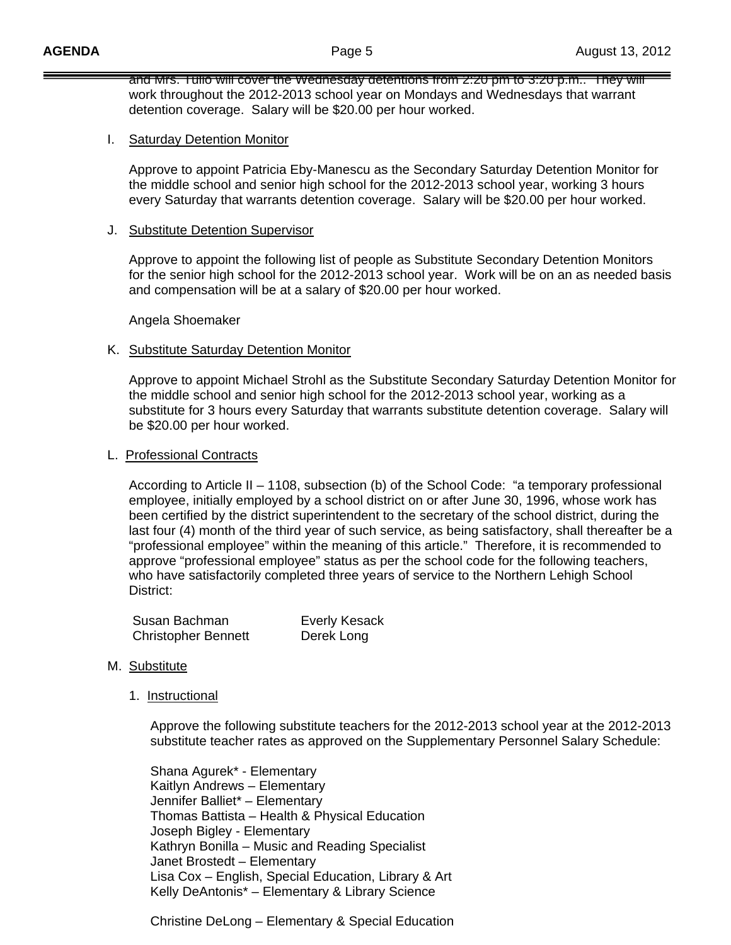and Mrs. Tulio will cover the Wednesday detentions from 2:20 pm to 3:20 p.m.. They will work throughout the 2012-2013 school year on Mondays and Wednesdays that warrant detention coverage. Salary will be \$20.00 per hour worked.

#### I. Saturday Detention Monitor

 Approve to appoint Patricia Eby-Manescu as the Secondary Saturday Detention Monitor for the middle school and senior high school for the 2012-2013 school year, working 3 hours every Saturday that warrants detention coverage. Salary will be \$20.00 per hour worked.

#### J. Substitute Detention Supervisor

 Approve to appoint the following list of people as Substitute Secondary Detention Monitors for the senior high school for the 2012-2013 school year. Work will be on an as needed basis and compensation will be at a salary of \$20.00 per hour worked.

Angela Shoemaker

#### K. Substitute Saturday Detention Monitor

Approve to appoint Michael Strohl as the Substitute Secondary Saturday Detention Monitor for the middle school and senior high school for the 2012-2013 school year, working as a substitute for 3 hours every Saturday that warrants substitute detention coverage. Salary will be \$20.00 per hour worked.

#### L. Professional Contracts

 According to Article II – 1108, subsection (b) of the School Code: "a temporary professional employee, initially employed by a school district on or after June 30, 1996, whose work has been certified by the district superintendent to the secretary of the school district, during the last four (4) month of the third year of such service, as being satisfactory, shall thereafter be a "professional employee" within the meaning of this article." Therefore, it is recommended to approve "professional employee" status as per the school code for the following teachers, who have satisfactorily completed three years of service to the Northern Lehigh School District:

| Susan Bachman              | <b>Everly Kesack</b> |
|----------------------------|----------------------|
| <b>Christopher Bennett</b> | Derek Long           |

#### M. Substitute

1. Instructional

 Approve the following substitute teachers for the 2012-2013 school year at the 2012-2013 substitute teacher rates as approved on the Supplementary Personnel Salary Schedule:

 Shana Agurek\* - Elementary Kaitlyn Andrews – Elementary Jennifer Balliet\* – Elementary Thomas Battista – Health & Physical Education Joseph Bigley - Elementary Kathryn Bonilla – Music and Reading Specialist Janet Brostedt – Elementary Lisa Cox – English, Special Education, Library & Art Kelly DeAntonis\* – Elementary & Library Science

Christine DeLong – Elementary & Special Education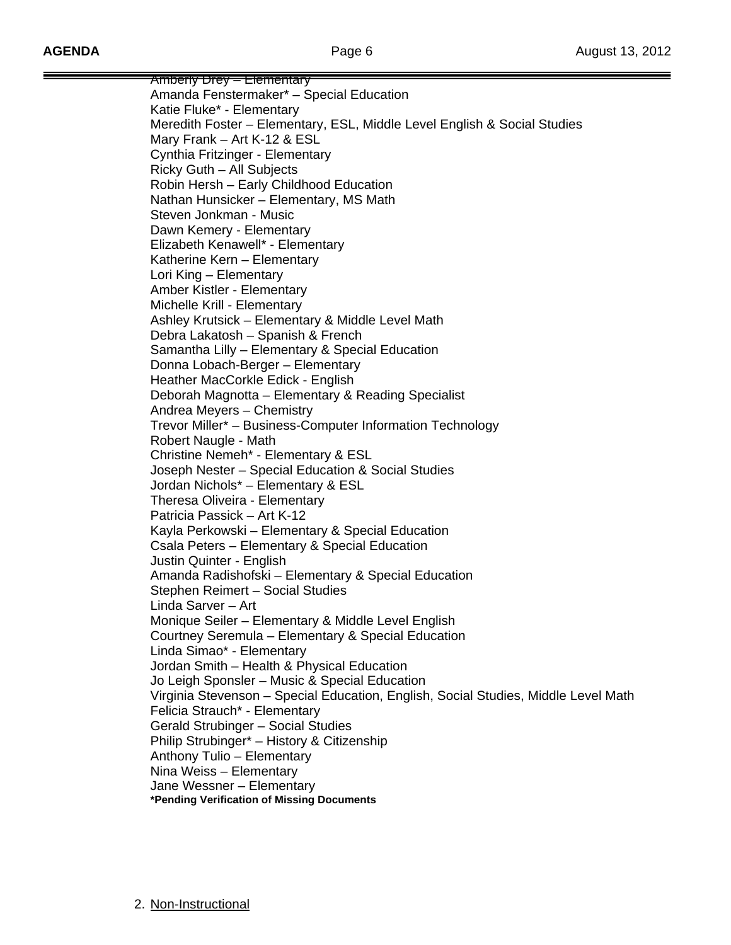Amberly Drey – Elementary Amanda Fenstermaker\* – Special Education Katie Fluke\* - Elementary Meredith Foster – Elementary, ESL, Middle Level English & Social Studies Mary Frank – Art K-12 & ESL Cynthia Fritzinger - Elementary Ricky Guth – All Subjects Robin Hersh – Early Childhood Education Nathan Hunsicker – Elementary, MS Math Steven Jonkman - Music Dawn Kemery - Elementary Elizabeth Kenawell\* - Elementary Katherine Kern – Elementary Lori King – Elementary Amber Kistler - Elementary Michelle Krill - Elementary Ashley Krutsick – Elementary & Middle Level Math Debra Lakatosh – Spanish & French Samantha Lilly – Elementary & Special Education Donna Lobach-Berger – Elementary Heather MacCorkle Edick - English Deborah Magnotta – Elementary & Reading Specialist Andrea Meyers – Chemistry Trevor Miller\* – Business-Computer Information Technology Robert Naugle - Math Christine Nemeh\* - Elementary & ESL Joseph Nester – Special Education & Social Studies Jordan Nichols\* – Elementary & ESL Theresa Oliveira - Elementary Patricia Passick – Art K-12 Kayla Perkowski – Elementary & Special Education Csala Peters – Elementary & Special Education Justin Quinter - English Amanda Radishofski – Elementary & Special Education Stephen Reimert – Social Studies Linda Sarver – Art Monique Seiler – Elementary & Middle Level English Courtney Seremula – Elementary & Special Education Linda Simao\* - Elementary Jordan Smith – Health & Physical Education Jo Leigh Sponsler – Music & Special Education Virginia Stevenson – Special Education, English, Social Studies, Middle Level Math Felicia Strauch\* - Elementary Gerald Strubinger – Social Studies Philip Strubinger\* – History & Citizenship Anthony Tulio – Elementary Nina Weiss – Elementary Jane Wessner – Elementary **\*Pending Verification of Missing Documents**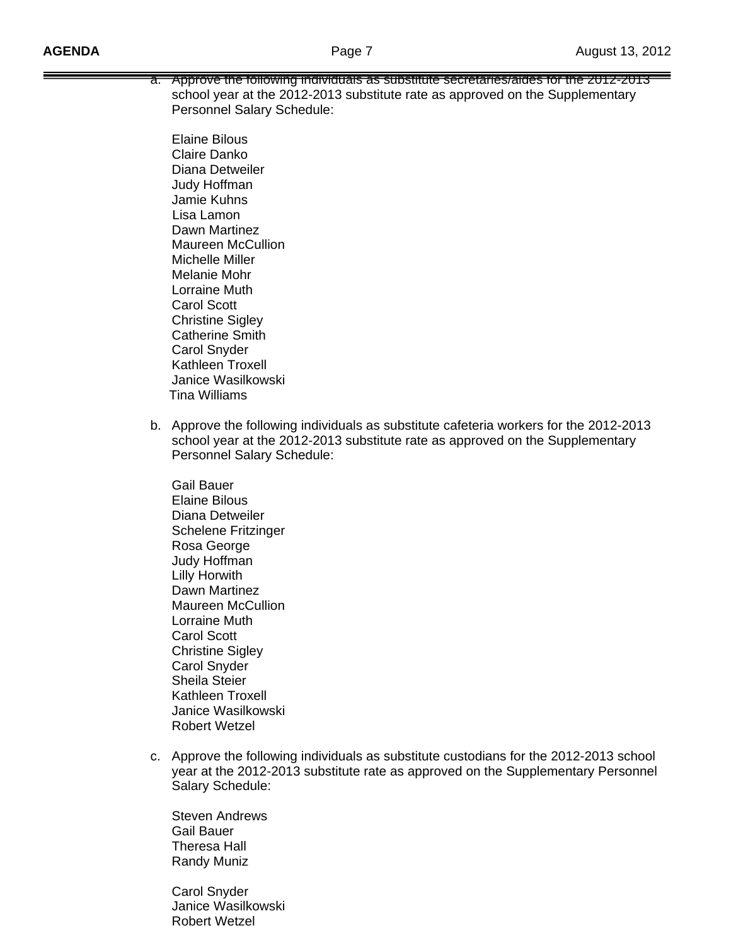a. Approve the following individuals as substitute secretaries/aides for the 2012-2013 school year at the 2012-2013 substitute rate as approved on the Supplementary Personnel Salary Schedule:

 Elaine Bilous Claire Danko Diana Detweiler Judy Hoffman Jamie Kuhns Lisa Lamon Dawn Martinez Maureen McCullion Michelle Miller Melanie Mohr Lorraine Muth Carol Scott Christine Sigley Catherine Smith Carol Snyder Kathleen Troxell Janice Wasilkowski Tina Williams

b. Approve the following individuals as substitute cafeteria workers for the 2012-2013 school year at the 2012-2013 substitute rate as approved on the Supplementary Personnel Salary Schedule:

 Gail Bauer Elaine Bilous Diana Detweiler Schelene Fritzinger Rosa George Judy Hoffman Lilly Horwith Dawn Martinez Maureen McCullion Lorraine Muth Carol Scott Christine Sigley Carol Snyder Sheila Steier Kathleen Troxell Janice Wasilkowski Robert Wetzel

c. Approve the following individuals as substitute custodians for the 2012-2013 school year at the 2012-2013 substitute rate as approved on the Supplementary Personnel Salary Schedule:

 Steven Andrews Gail Bauer Theresa Hall Randy Muniz

 Carol Snyder Janice Wasilkowski Robert Wetzel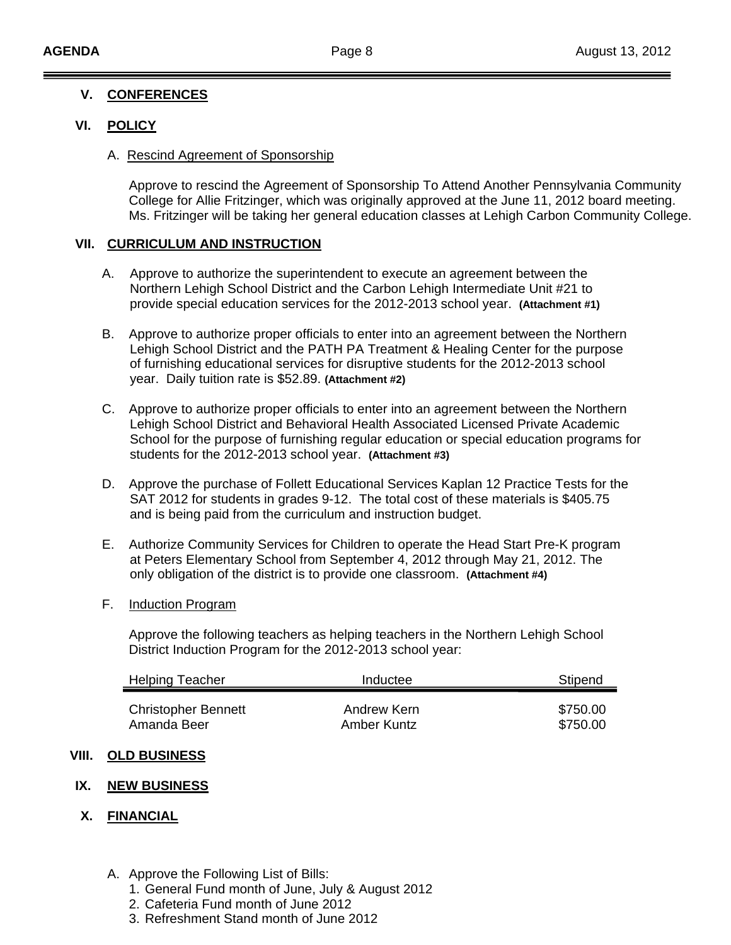#### Ī **V. CONFERENCES**

# **VI. POLICY**

### A. Rescind Agreement of Sponsorship

Approve to rescind the Agreement of Sponsorship To Attend Another Pennsylvania Community College for Allie Fritzinger, which was originally approved at the June 11, 2012 board meeting. Ms. Fritzinger will be taking her general education classes at Lehigh Carbon Community College.

# **VII. CURRICULUM AND INSTRUCTION**

- A. Approve to authorize the superintendent to execute an agreement between the Northern Lehigh School District and the Carbon Lehigh Intermediate Unit #21 to provide special education services for the 2012-2013 school year. **(Attachment #1)**
- B. Approve to authorize proper officials to enter into an agreement between the Northern Lehigh School District and the PATH PA Treatment & Healing Center for the purpose of furnishing educational services for disruptive students for the 2012-2013 school year. Daily tuition rate is \$52.89. **(Attachment #2)**
- C. Approve to authorize proper officials to enter into an agreement between the Northern Lehigh School District and Behavioral Health Associated Licensed Private Academic School for the purpose of furnishing regular education or special education programs for students for the 2012-2013 school year. **(Attachment #3)**
- D. Approve the purchase of Follett Educational Services Kaplan 12 Practice Tests for the SAT 2012 for students in grades 9-12. The total cost of these materials is \$405.75 and is being paid from the curriculum and instruction budget.
- E. Authorize Community Services for Children to operate the Head Start Pre-K program at Peters Elementary School from September 4, 2012 through May 21, 2012. The only obligation of the district is to provide one classroom. **(Attachment #4)**

# F. Induction Program

 Approve the following teachers as helping teachers in the Northern Lehigh School District Induction Program for the 2012-2013 school year:

| <b>Helping Teacher</b>     | Inductee    | Stipend  |  |
|----------------------------|-------------|----------|--|
| <b>Christopher Bennett</b> | Andrew Kern | \$750.00 |  |
| Amanda Beer                | Amber Kuntz | \$750.00 |  |

# **VIII. OLD BUSINESS**

# **IX. NEW BUSINESS**

# **X. FINANCIAL**

- A. Approve the Following List of Bills:
	- 1. General Fund month of June, July & August 2012
	- 2. Cafeteria Fund month of June 2012
	- 3. Refreshment Stand month of June 2012